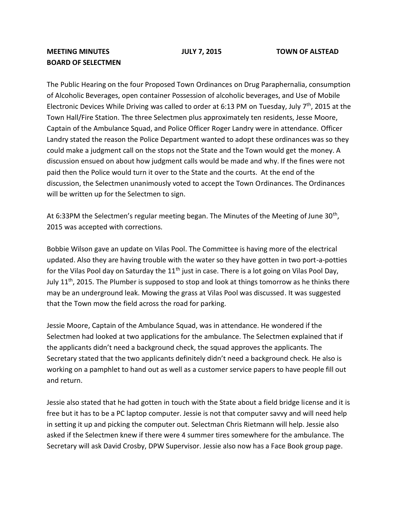## **MEETING MINUTES JULY 7, 2015 TOWN OF ALSTEAD BOARD OF SELECTMEN**

The Public Hearing on the four Proposed Town Ordinances on Drug Paraphernalia, consumption of Alcoholic Beverages, open container Possession of alcoholic beverages, and Use of Mobile Electronic Devices While Driving was called to order at 6:13 PM on Tuesday, July  $7<sup>th</sup>$ , 2015 at the Town Hall/Fire Station. The three Selectmen plus approximately ten residents, Jesse Moore, Captain of the Ambulance Squad, and Police Officer Roger Landry were in attendance. Officer Landry stated the reason the Police Department wanted to adopt these ordinances was so they could make a judgment call on the stops not the State and the Town would get the money. A discussion ensued on about how judgment calls would be made and why. If the fines were not paid then the Police would turn it over to the State and the courts. At the end of the discussion, the Selectmen unanimously voted to accept the Town Ordinances. The Ordinances will be written up for the Selectmen to sign.

At 6:33PM the Selectmen's regular meeting began. The Minutes of the Meeting of June 30<sup>th</sup>, 2015 was accepted with corrections.

Bobbie Wilson gave an update on Vilas Pool. The Committee is having more of the electrical updated. Also they are having trouble with the water so they have gotten in two port-a-potties for the Vilas Pool day on Saturday the  $11<sup>th</sup>$  just in case. There is a lot going on Vilas Pool Day, July  $11<sup>th</sup>$ , 2015. The Plumber is supposed to stop and look at things tomorrow as he thinks there may be an underground leak. Mowing the grass at Vilas Pool was discussed. It was suggested that the Town mow the field across the road for parking.

Jessie Moore, Captain of the Ambulance Squad, was in attendance. He wondered if the Selectmen had looked at two applications for the ambulance. The Selectmen explained that if the applicants didn't need a background check, the squad approves the applicants. The Secretary stated that the two applicants definitely didn't need a background check. He also is working on a pamphlet to hand out as well as a customer service papers to have people fill out and return.

Jessie also stated that he had gotten in touch with the State about a field bridge license and it is free but it has to be a PC laptop computer. Jessie is not that computer savvy and will need help in setting it up and picking the computer out. Selectman Chris Rietmann will help. Jessie also asked if the Selectmen knew if there were 4 summer tires somewhere for the ambulance. The Secretary will ask David Crosby, DPW Supervisor. Jessie also now has a Face Book group page.